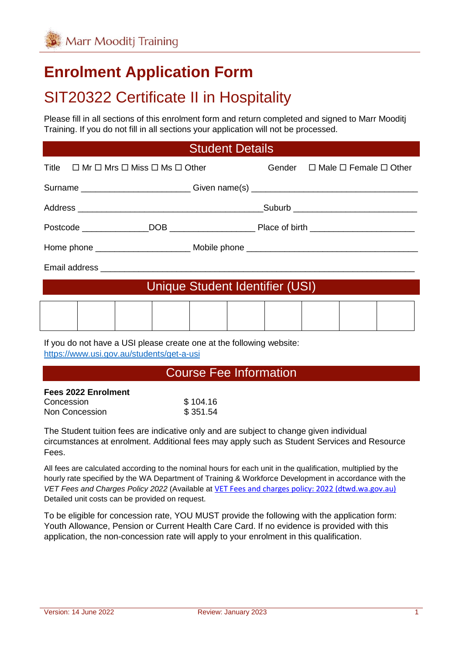# **Enrolment Application Form**

# SIT20322 Certificate II in Hospitality

Please fill in all sections of this enrolment form and return completed and signed to Marr Mooditj Training. If you do not fill in all sections your application will not be processed.

#### Student Details

| Title $\Box$ Mr $\Box$ Mrs $\Box$ Miss $\Box$ Ms $\Box$ Other                    |  |  | Gender $\Box$ Male $\Box$ Female $\Box$ Other |
|----------------------------------------------------------------------------------|--|--|-----------------------------------------------|
| Surname ____________________________Given name(s) ______________________________ |  |  |                                               |
|                                                                                  |  |  |                                               |
|                                                                                  |  |  |                                               |
|                                                                                  |  |  |                                               |
|                                                                                  |  |  |                                               |
| Unique Student Identifier (USI)                                                  |  |  |                                               |
|                                                                                  |  |  |                                               |

If you do not have a USI please create one at the following website: <https://www.usi.gov.au/students/get-a-usi>

#### Course Fee Information

| \$104.16 |
|----------|
| \$351.54 |
|          |

The Student tuition fees are indicative only and are subject to change given individual circumstances at enrolment. Additional fees may apply such as Student Services and Resource Fees.

All fees are calculated according to the nominal hours for each unit in the qualification, multiplied by the hourly rate specified by the WA Department of Training & Workforce Development in accordance with the *VET Fees and Charges Policy 2022* (Available at [VET Fees and charges policy: 2022 \(dtwd.wa.gov.au\)](https://www.dtwd.wa.gov.au/sites/default/files/uploads/dtwd-vet-fees-and-charges-2022-v1.0.pdf) Detailed unit costs can be provided on request.

To be eligible for concession rate, YOU MUST provide the following with the application form: Youth Allowance, Pension or Current Health Care Card. If no evidence is provided with this application, the non-concession rate will apply to your enrolment in this qualification.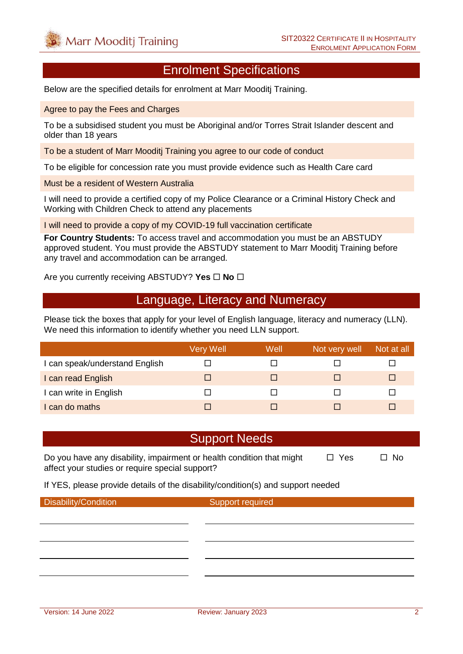#### Enrolment Specifications

Below are the specified details for enrolment at Marr Mooditj Training.

Agree to pay the Fees and Charges

To be a subsidised student you must be Aboriginal and/or Torres Strait Islander descent and older than 18 years

To be a student of Marr Mooditj Training you agree to our code of conduct

To be eligible for concession rate you must provide evidence such as Health Care card

Must be a resident of Western Australia

I will need to provide a certified copy of my Police Clearance or a Criminal History Check and Working with Children Check to attend any placements

I will need to provide a copy of my COVID-19 full vaccination certificate

**For Country Students:** To access travel and accommodation you must be an ABSTUDY approved student. You must provide the ABSTUDY statement to Marr Mooditj Training before any travel and accommodation can be arranged.

Are you currently receiving ABSTUDY? Yes  $\Box$  No  $\Box$ 

#### Language, Literacy and Numeracy

Please tick the boxes that apply for your level of English language, literacy and numeracy (LLN). We need this information to identify whether you need LLN support.

|                                | Very Well | Well | Not very well | Not at all |
|--------------------------------|-----------|------|---------------|------------|
| I can speak/understand English |           |      |               |            |
| I can read English             |           |      |               | ш          |
| I can write in English         |           |      |               |            |
| I can do maths                 |           |      |               |            |

#### Support Needs

Do you have any disability, impairment or health condition that might  $\Box$  Yes  $\Box$  No affect your studies or require special support?

If YES, please provide details of the disability/condition(s) and support needed

Disability/Condition Support required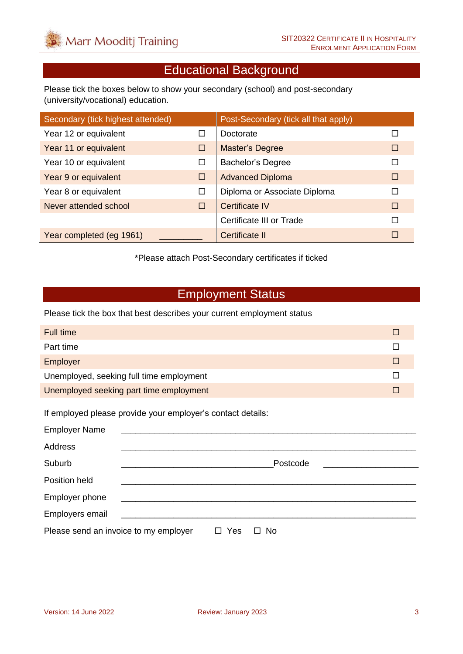# Educational Background

Please tick the boxes below to show your secondary (school) and post-secondary (university/vocational) education.

| Secondary (tick highest attended) |        | Post-Secondary (tick all that apply) |        |
|-----------------------------------|--------|--------------------------------------|--------|
| Year 12 or equivalent             | ш      | Doctorate                            |        |
| Year 11 or equivalent             | □      | <b>Master's Degree</b>               | □      |
| Year 10 or equivalent             | □      | <b>Bachelor's Degree</b>             |        |
| Year 9 or equivalent              | □      | <b>Advanced Diploma</b>              | П      |
| Year 8 or equivalent              | □      | Diploma or Associate Diploma         | $\Box$ |
| Never attended school             | $\Box$ | Certificate IV                       | $\Box$ |
|                                   |        | Certificate III or Trade             | П      |
| Year completed (eg 1961)          |        | Certificate II                       | П      |

\*Please attach Post-Secondary certificates if ticked

### Employment Status

Please tick the box that best describes your current employment status

| Full time                                |  |
|------------------------------------------|--|
| Part time                                |  |
| Employer                                 |  |
| Unemployed, seeking full time employment |  |
| Unemployed seeking part time employment  |  |

If employed please provide your employer's contact details:

| <b>Employer Name</b>                  | <u> 1980 - Jan Samuel Barbara, margaret e populari e populari e populari e populari e populari e populari e popu</u> |     |                     |
|---------------------------------------|----------------------------------------------------------------------------------------------------------------------|-----|---------------------|
| Address                               |                                                                                                                      |     |                     |
| Suburb                                |                                                                                                                      |     | Postcode            |
| Position held                         |                                                                                                                      |     |                     |
| Employer phone                        |                                                                                                                      |     |                     |
| Employers email                       | <u> 1989 - Johann Stein, mars an t-Amerikaansk kommunist (</u>                                                       |     |                     |
| Please send an invoice to my employer |                                                                                                                      | Yes | <b>No</b><br>$\Box$ |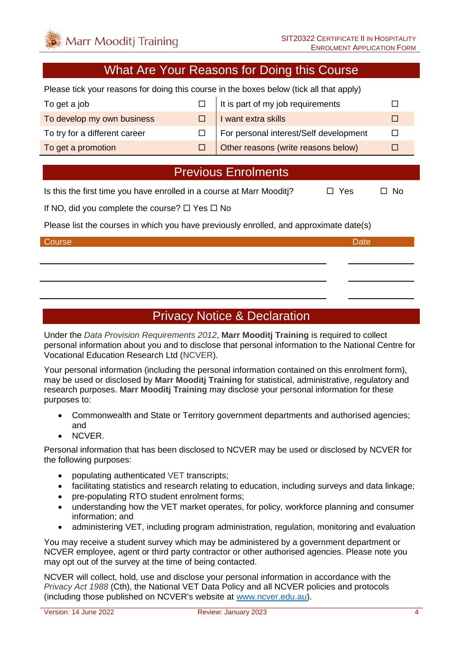### What Are Your Reasons for Doing this Course

Please tick your reasons for doing this course in the boxes below (tick all that apply)

| To get a job                  | $\Box$ It is part of my job requirements   |  |
|-------------------------------|--------------------------------------------|--|
| To develop my own business    | $\Box$ I want extra skills                 |  |
| To try for a different career | For personal interest/Self development     |  |
| To get a promotion            | $\Box$ Other reasons (write reasons below) |  |

#### Previous Enrolments

Is this the first time you have enrolled in a course at Marr Mooditi?  $\Box$  Yes  $\Box$  No

If NO, did you complete the course?  $\Box$  Yes  $\Box$  No

Please list the courses in which you have previously enrolled, and approximate date(s)

#### Course **Date** Date of the Course of the Course of the Course of the Course of the Date

## Privacy Notice & Declaration

Under the *Data Provision Requirements 2012*, **Marr Mooditj Training** is required to collect personal information about you and to disclose that personal information to the National Centre for Vocational Education Research Ltd (NCVER).

Your personal information (including the personal information contained on this enrolment form), may be used or disclosed by **Marr Mooditj Training** for statistical, administrative, regulatory and research purposes. **Marr Mooditj Training** may disclose your personal information for these purposes to:

- Commonwealth and State or Territory government departments and authorised agencies; and
- NCVER.

Personal information that has been disclosed to NCVER may be used or disclosed by NCVER for the following purposes:

- populating authenticated VET transcripts;
- facilitating statistics and research relating to education, including surveys and data linkage;
- pre-populating RTO student enrolment forms:
- understanding how the VET market operates, for policy, workforce planning and consumer information; and
- administering VET, including program administration, regulation, monitoring and evaluation

You may receive a student survey which may be administered by a government department or NCVER employee, agent or third party contractor or other authorised agencies. Please note you may opt out of the survey at the time of being contacted.

NCVER will collect, hold, use and disclose your personal information in accordance with the *Privacy Act 1988* (Cth), the National VET Data Policy and all NCVER policies and protocols (including those published on NCVER's website at [www.ncver.edu.au\)](http://www.ncver.edu.au/).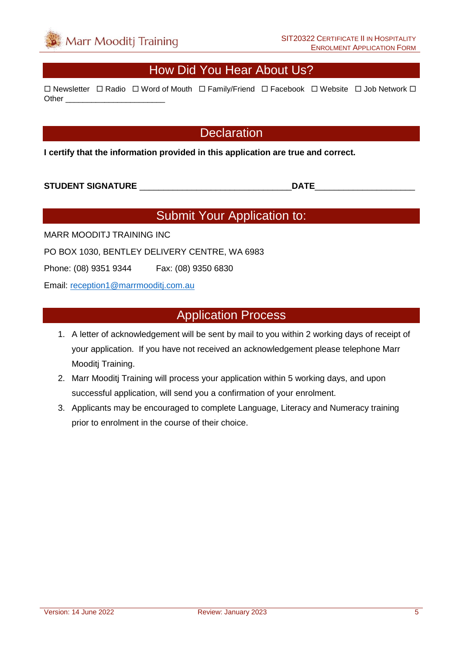### How Did You Hear About Us?

 $\Box$  Newsletter  $\Box$  Radio  $\Box$  Word of Mouth  $\Box$  Family/Friend  $\Box$  Facebook  $\Box$  Website  $\Box$  Job Network  $\Box$ Other **Lating** 

#### **Declaration**

**I certify that the information provided in this application are true and correct.**

#### **STUDENT SIGNATURE** \_\_\_\_\_\_\_\_\_\_\_\_\_\_\_\_\_\_\_\_\_\_\_\_\_\_\_\_\_\_\_\_**DATE**\_\_\_\_\_\_\_\_\_\_\_\_\_\_\_\_\_\_\_\_\_

## Submit Your Application to:

MARR MOODITJ TRAINING INC

PO BOX 1030, BENTLEY DELIVERY CENTRE, WA 6983

Phone: (08) 9351 9344 Fax: (08) 9350 6830

Email: [reception1@marrmooditj.com.au](mailto:reception1@marrmooditj.com.au)

#### Application Process

- 1. A letter of acknowledgement will be sent by mail to you within 2 working days of receipt of your application. If you have not received an acknowledgement please telephone Marr Mooditj Training.
- 2. Marr Mooditj Training will process your application within 5 working days, and upon successful application, will send you a confirmation of your enrolment.
- 3. Applicants may be encouraged to complete Language, Literacy and Numeracy training prior to enrolment in the course of their choice.